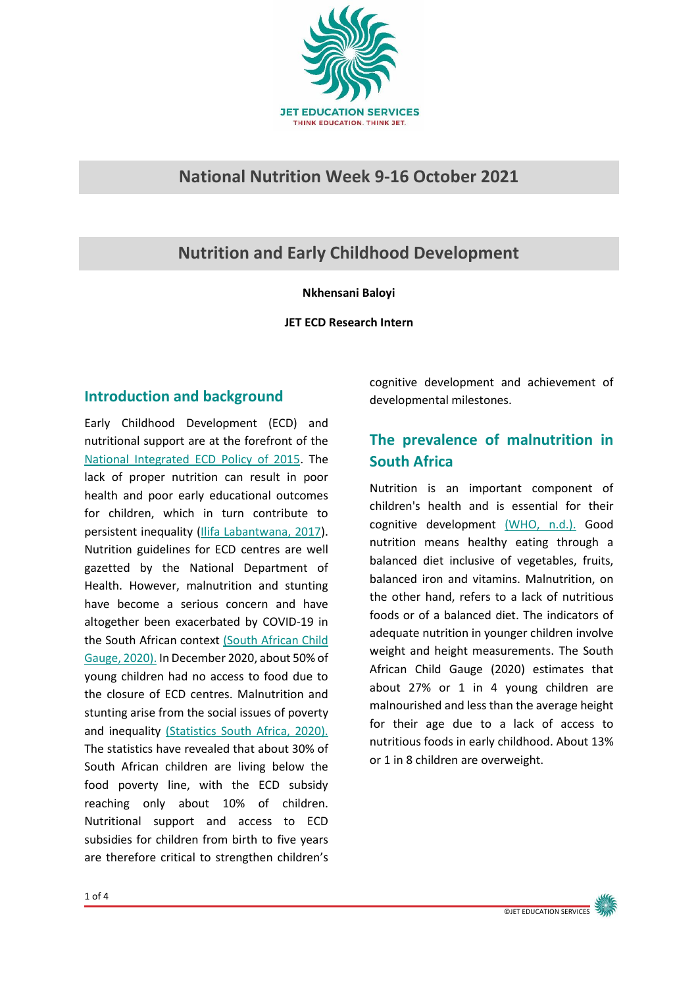

## **National Nutrition Week 9-16 October 2021**

# **Nutrition and Early Childhood Development**

#### **Nkhensani Baloyi**

**JET ECD Research Intern**

### **Introduction and background**

Early Childhood Development (ECD) and nutritional support are at the forefront of the [National Integrated ECD Policy of 2015.](https://www.gov.za/sites/default/files/gcis_document/201610/national-integrated-ecd-policy-web-version-final-01-08-2016a.pdf) The lack of proper nutrition can result in poor health and poor early educational outcomes for children, which in turn contribute to persistent inequality [\(Ilifa Labantwana, 2017\)](http://www.ci.uct.ac.za/sites/default/files/image_tool/images/367/SA-ECR_2017_WEB-new.pdf). Nutrition guidelines for ECD centres are well gazetted by the National Department of Health. However, malnutrition and stunting have become a serious concern and have altogether been exacerbated by COVID-19 in the South African context [\(South African Child](http://www.ci.uct.ac.za/sites/default/files/image_tool/images/367/Child_Gauge/South_African_Child_Gauge_2020/ChildGauge%20Poster_2020_lowres.pdf)  [Gauge,](http://www.ci.uct.ac.za/sites/default/files/image_tool/images/367/Child_Gauge/South_African_Child_Gauge_2020/ChildGauge%20Poster_2020_lowres.pdf) 2020). In December 2020, about 50% of young children had no access to food due to the closure of ECD centres. Malnutrition and stunting arise from the social issues of poverty and inequality [\(Statistics South Africa, 2020\).](http://www.statssa.gov.za/?p=13438) The statistics have revealed that about 30% of South African children are living below the food poverty line, with the ECD subsidy reaching only about 10% of children. Nutritional support and access to ECD subsidies for children from birth to five years are therefore critical to strengthen children's

cognitive development and achievement of developmental milestones.

# **The prevalence of malnutrition in South Africa**

Nutrition is an important component of children's health and is essential for their cognitive development [\(WHO, n.d.\).](https://www.who.int/health-topics/nutrition) Good nutrition means healthy eating through a balanced diet inclusive of vegetables, fruits, balanced iron and vitamins. Malnutrition, on the other hand, refers to a lack of nutritious foods or of a balanced diet. The indicators of adequate nutrition in younger children involve weight and height measurements. The South African Child Gauge (2020) estimates that about 27% or 1 in 4 young children are malnourished and less than the average height for their age due to a lack of access to nutritious foods in early childhood. About 13% or 1 in 8 children are overweight.

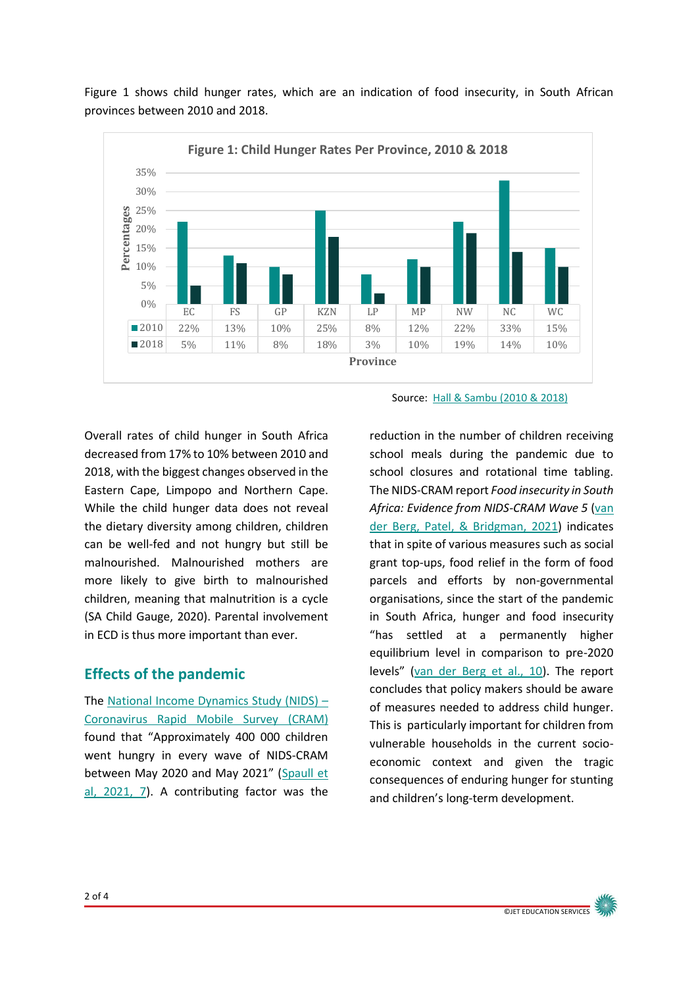

Figure 1 shows child hunger rates, which are an indication of food insecurity, in South African provinces between 2010 and 2018.

Overall rates of child hunger in South Africa decreased from 17% to 10% between 2010 and 2018, with the biggest changes observed in the Eastern Cape, Limpopo and Northern Cape. While the child hunger data does not reveal the dietary diversity among children, children can be well-fed and not hungry but still be malnourished. Malnourished mothers are more likely to give birth to malnourished children, meaning that malnutrition is a cycle (SA Child Gauge, 2020). Parental involvement in ECD is thus more important than ever.

### **Effects of the pandemic**

The [National Income Dynamics Study \(NIDS\)](https://cramsurvey.org/) – [Coronavirus Rapid Mobile Survey \(CRAM\)](https://cramsurvey.org/) found that "Approximately 400 000 children went hungry in every wave of NIDS-CRAM between May 2020 and May 2021" (Spaull et [al, 2021, 7\)](https://cramsurvey.org/wp-content/uploads/2021/07/1.-Spaull-N.-Daniels-R.-C-et-al.-2021-NIDS-CRAM-Wave-5-Synthesis-Report.pdf). A contributing factor was the

Source: [Hall & Sambu](http://childrencount.uct.ac.za/indicator.php?domain=4&indicator=32) (2010 & 2018)

reduction in the number of children receiving school meals during the pandemic due to school closures and rotational time tabling. The NIDS-CRAM report *Food insecurity in South Africa: Evidence from NIDS-CRAM Wave 5* [\(van](https://cramsurvey.org/wp-content/uploads/2021/07/13.-Van-der-Berg-S.-Patel-L-and-Bridgeman-G.-2021-Food-insecurity-in-South-Africa-%E2%80%93-Evidence-from-NIDS-CRAM-Wave-5.pdf)  [der Berg, Patel, & Bridgman,](https://cramsurvey.org/wp-content/uploads/2021/07/13.-Van-der-Berg-S.-Patel-L-and-Bridgeman-G.-2021-Food-insecurity-in-South-Africa-%E2%80%93-Evidence-from-NIDS-CRAM-Wave-5.pdf) 2021) indicates that in spite of various measures such as social grant top-ups, food relief in the form of food parcels and efforts by non-governmental organisations, since the start of the pandemic in South Africa, hunger and food insecurity "has settled at a permanently higher equilibrium level in comparison to pre-2020 levels" [\(van der Berg](https://cramsurvey.org/wp-content/uploads/2021/07/13.-Van-der-Berg-S.-Patel-L-and-Bridgeman-G.-2021-Food-insecurity-in-South-Africa-%E2%80%93-Evidence-from-NIDS-CRAM-Wave-5.pdf) et al., 10). The report concludes that policy makers should be aware of measures needed to address child hunger. This is particularly important for children from vulnerable households in the current socioeconomic context and given the tragic consequences of enduring hunger for stunting and children's long-term development.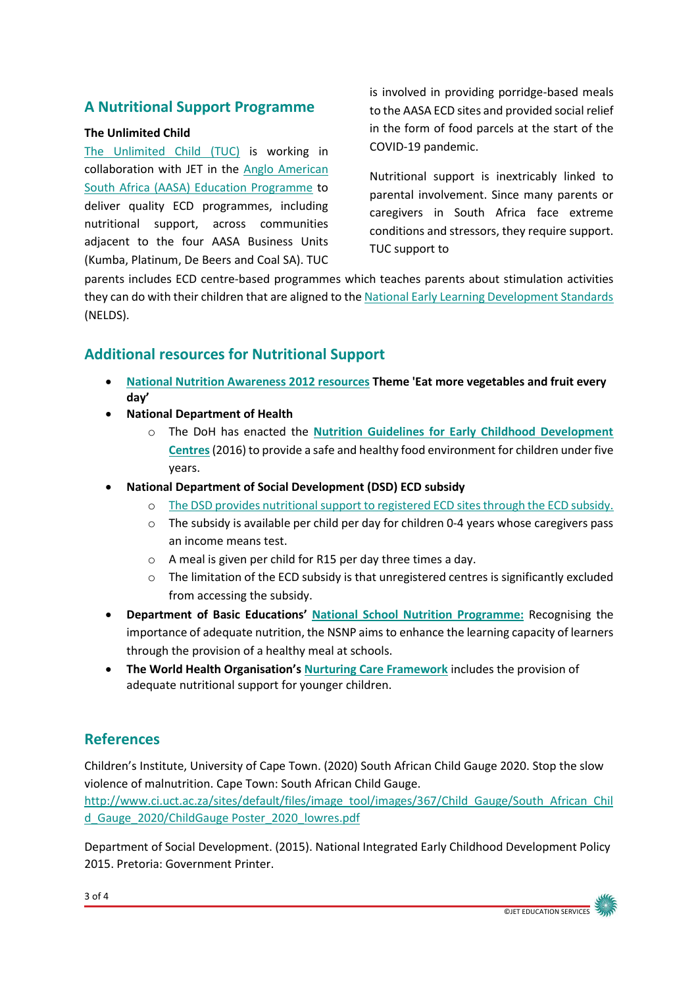## **A Nutritional Support Programme**

#### **The Unlimited Child**

[The Unlimited Child \(TUC\)](http://www.theunlimitedchild.org/) is working in collaboration with JET in the [Anglo American](https://southafrica.angloamerican.com/our-difference/anglo-american-south-africa-education-programme)  [South Africa \(AASA\) Education Programme](https://southafrica.angloamerican.com/our-difference/anglo-american-south-africa-education-programme) to deliver quality ECD programmes, including nutritional support, across communities adjacent to the four AASA Business Units (Kumba, Platinum, De Beers and Coal SA). TUC is involved in providing porridge-based meals to the AASA ECD sites and provided social relief in the form of food parcels at the start of the COVID-19 pandemic.

Nutritional support is inextricably linked to parental involvement. Since many parents or caregivers in South Africa face extreme conditions and stressors, they require support. TUC support to

parents includes ECD centre-based programmes which teaches parents about stimulation activities they can do with their children that are aligned to the [National Early Learning Development Standards](https://www.unicef.org/southafrica/reports/national-early-learning-and-development-standards-children-birth-four-years) (NELDS).

## **Additional resources for Nutritional Support**

- **[National Nutrition Awareness 2012 resources](https://www.nutritionweek.co.za/NNW2021/) Theme 'Eat more vegetables and fruit every day'**
- **National Department of Health** 
	- o The DoH has enacted the **[Nutrition Guidelines for Early Childhood Development](https://ilifalabantwana.co.za/wp-content/uploads/2016/12/Nutrition-guidelines-for-ECD-centres_Draft-2_30-September-2016.pdf)  [Centres](https://ilifalabantwana.co.za/wp-content/uploads/2016/12/Nutrition-guidelines-for-ECD-centres_Draft-2_30-September-2016.pdf)**(2016) to provide a safe and healthy food environment for children under five years.
- **National Department of Social Development (DSD) ECD subsidy**
	- o [The DSD provides nutritional support to registered ECD sites through the ECD subsidy.](https://www.dsd.gov.za/index.php/21-latest-news/180-social-development-and-the-nelson-mandela-foundation-partner-to-improve-conditions-of-unregistered-early-childhood-development-centres?highlight=WyJlY2QiLCJzdWJzaWR5IiwiZWNkIHN1YnNpZHkiXQ==)
	- o The subsidy is available per child per day for children 0-4 years whose caregivers pass an income means test.
	- o A meal is given per child for R15 per day three times a day.
	- $\circ$  The limitation of the ECD subsidy is that unregistered centres is significantly excluded from accessing the subsidy.
- **Department of Basic Educations' [National School Nutrition](https://www.education.gov.za/Programmes/NationalSchoolNutritionProgramme.aspx) Programme:** Recognising the importance of adequate nutrition, the NSNP aims to enhance the learning capacity of learners through the provision of a healthy meal at schools.
- **The World Health Organisation's [Nurturing Care Framework](https://nurturing-care.org/handbook-start-here)** includes the provision of adequate nutritional support for younger children.

## **References**

Children's Institute, University of Cape Town. (2020) South African Child Gauge 2020. Stop the slow violence of malnutrition. Cape Town: South African Child Gauge.

[http://www.ci.uct.ac.za/sites/default/files/image\\_tool/images/367/Child\\_Gauge/South\\_African\\_Chil](http://www.ci.uct.ac.za/sites/default/files/image_tool/images/367/Child_Gauge/South_African_Child_Gauge_2020/ChildGauge%20Poster_2020_lowres.pdf) d Gauge 2020/ChildGauge Poster 2020 lowres.pdf

Department of Social Development. (2015). National Integrated Early Childhood Development Policy 2015. Pretoria: Government Printer.